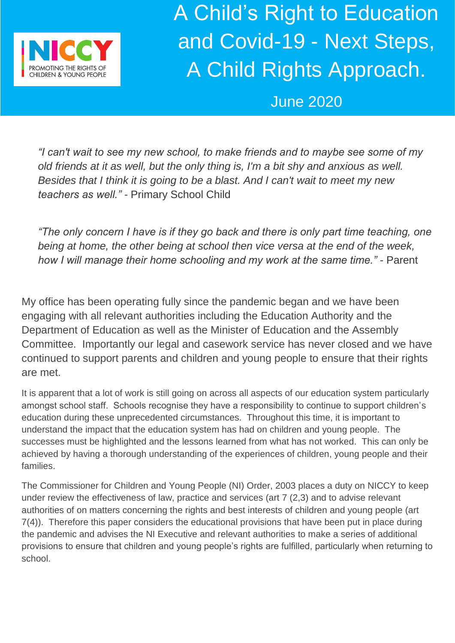

A Child's Right to Education and Covid-19 - Next Steps, A Child Rights Approach.

June 2020

*"I can't wait to see my new school, to make friends and to maybe see some of my old friends at it as well, but the only thing is, I'm a bit shy and anxious as well.*  Besides that I think it is going to be a blast. And I can't wait to meet my new *teachers as well." -* Primary School Child

*"The only concern I have is if they go back and there is only part time teaching, one being at home, the other being at school then vice versa at the end of the week, how I will manage their home schooling and my work at the same time." -* Parent

My office has been operating fully since the pandemic began and we have been engaging with all relevant authorities including the Education Authority and the Department of Education as well as the Minister of Education and the Assembly Committee. Importantly our legal and casework service has never closed and we have continued to support parents and children and young people to ensure that their rights are met.

It is apparent that a lot of work is still going on across all aspects of our education system particularly amongst school staff. Schools recognise they have a responsibility to continue to support children's education during these unprecedented circumstances. Throughout this time, it is important to understand the impact that the education system has had on children and young people. The successes must be highlighted and the lessons learned from what has not worked. This can only be achieved by having a thorough understanding of the experiences of children, young people and their families.

The Commissioner for Children and Young People (NI) Order, 2003 places a duty on NICCY to keep under review the effectiveness of law, practice and services (art 7 (2,3) and to advise relevant authorities of on matters concerning the rights and best interests of children and young people (art 7(4)). Therefore this paper considers the educational provisions that have been put in place during the pandemic and advises the NI Executive and relevant authorities to make a series of additional provisions to ensure that children and young people's rights are fulfilled, particularly when returning to school.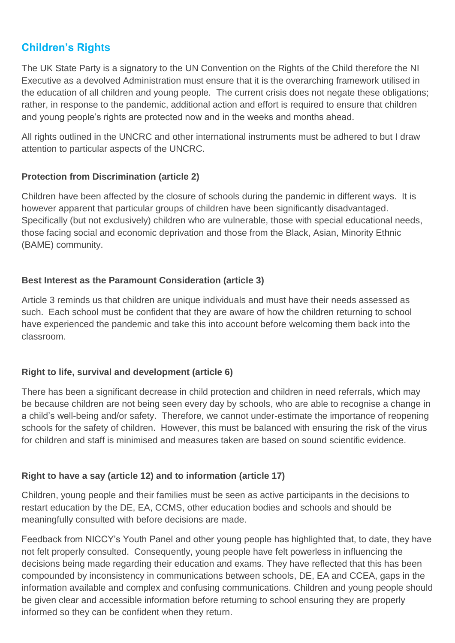# **Children's Rights**

The UK State Party is a signatory to the UN Convention on the Rights of the Child therefore the NI Executive as a devolved Administration must ensure that it is the overarching framework utilised in the education of all children and young people. The current crisis does not negate these obligations; rather, in response to the pandemic, additional action and effort is required to ensure that children and young people's rights are protected now and in the weeks and months ahead.

All rights outlined in the UNCRC and other international instruments must be adhered to but I draw attention to particular aspects of the UNCRC.

## **Protection from Discrimination (article 2)**

Children have been affected by the closure of schools during the pandemic in different ways. It is however apparent that particular groups of children have been significantly disadvantaged. Specifically (but not exclusively) children who are vulnerable, those with special educational needs, those facing social and economic deprivation and those from the Black, Asian, Minority Ethnic (BAME) community.

#### **Best Interest as the Paramount Consideration (article 3)**

Article 3 reminds us that children are unique individuals and must have their needs assessed as such. Each school must be confident that they are aware of how the children returning to school have experienced the pandemic and take this into account before welcoming them back into the classroom.

## **Right to life, survival and development (article 6)**

There has been a significant decrease in child protection and children in need referrals, which may be because children are not being seen every day by schools, who are able to recognise a change in a child's well-being and/or safety. Therefore, we cannot under-estimate the importance of reopening schools for the safety of children. However, this must be balanced with ensuring the risk of the virus for children and staff is minimised and measures taken are based on sound scientific evidence.

## **Right to have a say (article 12) and to information (article 17)**

Children, young people and their families must be seen as active participants in the decisions to restart education by the DE, EA, CCMS, other education bodies and schools and should be meaningfully consulted with before decisions are made.

Feedback from NICCY's Youth Panel and other young people has highlighted that, to date, they have not felt properly consulted. Consequently, young people have felt powerless in influencing the decisions being made regarding their education and exams. They have reflected that this has been compounded by inconsistency in communications between schools, DE, EA and CCEA, gaps in the information available and complex and confusing communications. Children and young people should be given clear and accessible information before returning to school ensuring they are properly informed so they can be confident when they return.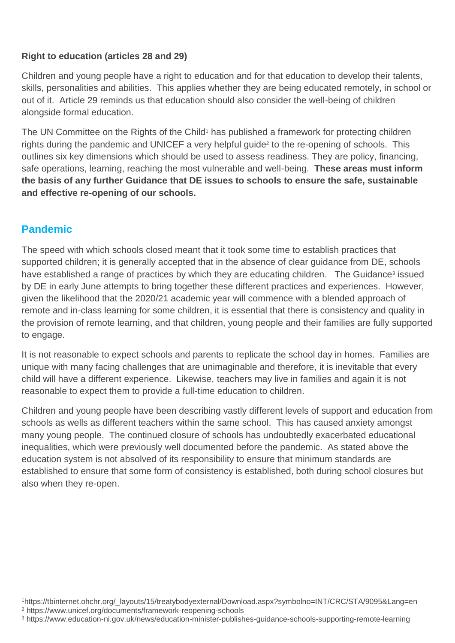## **Right to education (articles 28 and 29)**

Children and young people have a right to education and for that education to develop their talents, skills, personalities and abilities. This applies whether they are being educated remotely, in school or out of it. Article 29 reminds us that education should also consider the well-being of children alongside formal education.

The UN Committee on the Rights of the Child<sup>1</sup> has published a framework for protecting children rights during the pandemic and UNICEF a very helpful guide<sup>2</sup> to the re-opening of schools. This outlines six key dimensions which should be used to assess readiness. They are policy, financing, safe operations, learning, reaching the most vulnerable and well-being. **These areas must inform the basis of any further Guidance that DE issues to schools to ensure the safe, sustainable and effective re-opening of our schools.**

## **Pandemic**

 $\overline{a}$ 

The speed with which schools closed meant that it took some time to establish practices that supported children; it is generally accepted that in the absence of clear guidance from DE, schools have established a range of practices by which they are educating children. The Guidance<sup>3</sup> issued by DE in early June attempts to bring together these different practices and experiences. However, given the likelihood that the 2020/21 academic year will commence with a blended approach of remote and in-class learning for some children, it is essential that there is consistency and quality in the provision of remote learning, and that children, young people and their families are fully supported to engage.

It is not reasonable to expect schools and parents to replicate the school day in homes. Families are unique with many facing challenges that are unimaginable and therefore, it is inevitable that every child will have a different experience. Likewise, teachers may live in families and again it is not reasonable to expect them to provide a full-time education to children.

Children and young people have been describing vastly different levels of support and education from schools as wells as different teachers within the same school. This has caused anxiety amongst many young people. The continued closure of schools has undoubtedly exacerbated educational inequalities, which were previously well documented before the pandemic. As stated above the education system is not absolved of its responsibility to ensure that minimum standards are established to ensure that some form of consistency is established, both during school closures but also when they re-open.

<sup>1</sup>https://tbinternet.ohchr.org/\_layouts/15/treatybodyexternal/Download.aspx?symbolno=INT/CRC/STA/9095&Lang=en <sup>2</sup> https://www.unicef.org/documents/framework-reopening-schools

<sup>3</sup> https://www.education-ni.gov.uk/news/education-minister-publishes-guidance-schools-supporting-remote-learning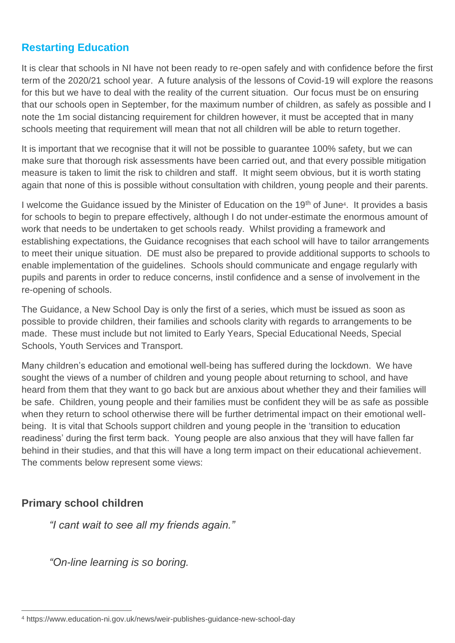# **Restarting Education**

It is clear that schools in NI have not been ready to re-open safely and with confidence before the first term of the 2020/21 school year. A future analysis of the lessons of Covid-19 will explore the reasons for this but we have to deal with the reality of the current situation. Our focus must be on ensuring that our schools open in September, for the maximum number of children, as safely as possible and I note the 1m social distancing requirement for children however, it must be accepted that in many schools meeting that requirement will mean that not all children will be able to return together.

It is important that we recognise that it will not be possible to guarantee 100% safety, but we can make sure that thorough risk assessments have been carried out, and that every possible mitigation measure is taken to limit the risk to children and staff. It might seem obvious, but it is worth stating again that none of this is possible without consultation with children, young people and their parents.

I welcome the Guidance issued by the Minister of Education on the 19<sup>th</sup> of June<sup>4</sup>. It provides a basis for schools to begin to prepare effectively, although I do not under-estimate the enormous amount of work that needs to be undertaken to get schools ready. Whilst providing a framework and establishing expectations, the Guidance recognises that each school will have to tailor arrangements to meet their unique situation. DE must also be prepared to provide additional supports to schools to enable implementation of the guidelines. Schools should communicate and engage regularly with pupils and parents in order to reduce concerns, instil confidence and a sense of involvement in the re-opening of schools.

The Guidance, a New School Day is only the first of a series, which must be issued as soon as possible to provide children, their families and schools clarity with regards to arrangements to be made. These must include but not limited to Early Years, Special Educational Needs, Special Schools, Youth Services and Transport.

Many children's education and emotional well-being has suffered during the lockdown. We have sought the views of a number of children and young people about returning to school, and have heard from them that they want to go back but are anxious about whether they and their families will be safe. Children, young people and their families must be confident they will be as safe as possible when they return to school otherwise there will be further detrimental impact on their emotional wellbeing. It is vital that Schools support children and young people in the 'transition to education readiness' during the first term back. Young people are also anxious that they will have fallen far behind in their studies, and that this will have a long term impact on their educational achievement. The comments below represent some views:

## **Primary school children**

*"I cant wait to see all my friends again."*

*"On-line learning is so boring.*

 $\overline{a}$ <sup>4</sup> https://www.education-ni.gov.uk/news/weir-publishes-guidance-new-school-day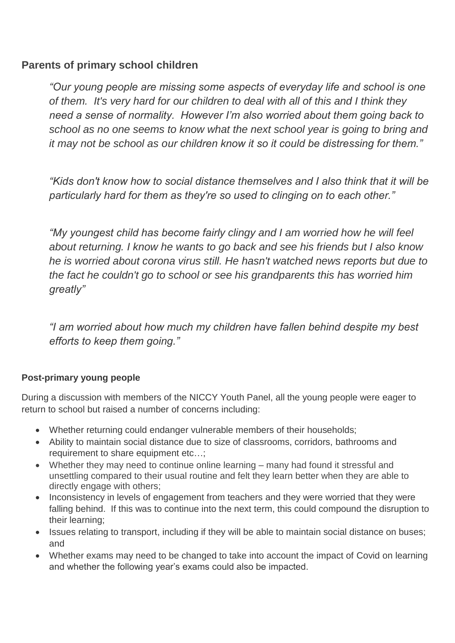## **Parents of primary school children**

*"Our young people are missing some aspects of everyday life and school is one of them. It's very hard for our children to deal with all of this and I think they need a sense of normality. However I'm also worried about them going back to school as no one seems to know what the next school year is going to bring and it may not be school as our children know it so it could be distressing for them."*

*"Kids don't know how to social distance themselves and I also think that it will be particularly hard for them as they're so used to clinging on to each other."*

*"My youngest child has become fairly clingy and I am worried how he will feel about returning. I know he wants to go back and see his friends but I also know he is worried about corona virus still. He hasn't watched news reports but due to the fact he couldn't go to school or see his grandparents this has worried him greatly"*

*"I am worried about how much my children have fallen behind despite my best efforts to keep them going."*

## **Post-primary young people**

During a discussion with members of the NICCY Youth Panel, all the young people were eager to return to school but raised a number of concerns including:

- Whether returning could endanger vulnerable members of their households;
- Ability to maintain social distance due to size of classrooms, corridors, bathrooms and requirement to share equipment etc…;
- Whether they may need to continue online learning many had found it stressful and unsettling compared to their usual routine and felt they learn better when they are able to directly engage with others;
- Inconsistency in levels of engagement from teachers and they were worried that they were falling behind. If this was to continue into the next term, this could compound the disruption to their learning;
- Issues relating to transport, including if they will be able to maintain social distance on buses; and
- Whether exams may need to be changed to take into account the impact of Covid on learning and whether the following year's exams could also be impacted.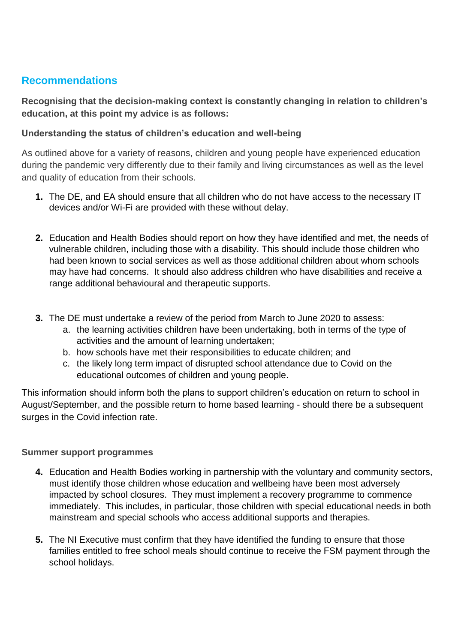# **Recommendations**

**Recognising that the decision-making context is constantly changing in relation to children's education, at this point my advice is as follows:**

## **Understanding the status of children's education and well-being**

As outlined above for a variety of reasons, children and young people have experienced education during the pandemic very differently due to their family and living circumstances as well as the level and quality of education from their schools.

- **1.** The DE, and EA should ensure that all children who do not have access to the necessary IT devices and/or Wi-Fi are provided with these without delay.
- **2.** Education and Health Bodies should report on how they have identified and met, the needs of vulnerable children, including those with a disability. This should include those children who had been known to social services as well as those additional children about whom schools may have had concerns. It should also address children who have disabilities and receive a range additional behavioural and therapeutic supports.
- **3.** The DE must undertake a review of the period from March to June 2020 to assess:
	- a. the learning activities children have been undertaking, both in terms of the type of activities and the amount of learning undertaken;
	- b. how schools have met their responsibilities to educate children; and
	- c. the likely long term impact of disrupted school attendance due to Covid on the educational outcomes of children and young people.

This information should inform both the plans to support children's education on return to school in August/September, and the possible return to home based learning - should there be a subsequent surges in the Covid infection rate.

## **Summer support programmes**

- **4.** Education and Health Bodies working in partnership with the voluntary and community sectors, must identify those children whose education and wellbeing have been most adversely impacted by school closures. They must implement a recovery programme to commence immediately. This includes, in particular, those children with special educational needs in both mainstream and special schools who access additional supports and therapies.
- **5.** The NI Executive must confirm that they have identified the funding to ensure that those families entitled to free school meals should continue to receive the FSM payment through the school holidays.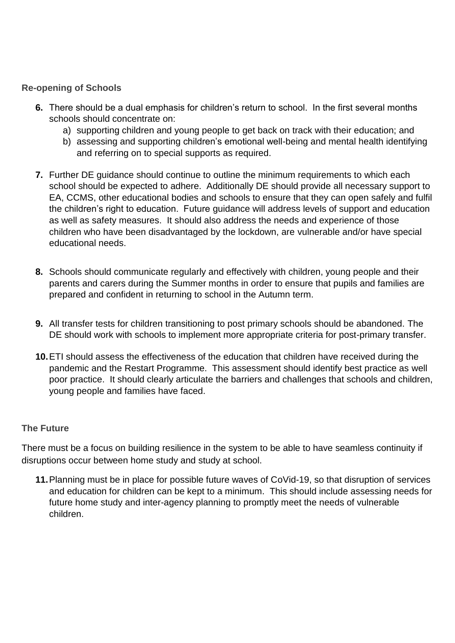#### **Re-opening of Schools**

- **6.** There should be a dual emphasis for children's return to school. In the first several months schools should concentrate on:
	- a) supporting children and young people to get back on track with their education; and
	- b) assessing and supporting children's emotional well-being and mental health identifying and referring on to special supports as required.
- **7.** Further DE guidance should continue to outline the minimum requirements to which each school should be expected to adhere. Additionally DE should provide all necessary support to EA, CCMS, other educational bodies and schools to ensure that they can open safely and fulfil the children's right to education. Future guidance will address levels of support and education as well as safety measures. It should also address the needs and experience of those children who have been disadvantaged by the lockdown, are vulnerable and/or have special educational needs.
- **8.** Schools should communicate regularly and effectively with children, young people and their parents and carers during the Summer months in order to ensure that pupils and families are prepared and confident in returning to school in the Autumn term.
- **9.** All transfer tests for children transitioning to post primary schools should be abandoned. The DE should work with schools to implement more appropriate criteria for post-primary transfer.
- **10.**ETI should assess the effectiveness of the education that children have received during the pandemic and the Restart Programme. This assessment should identify best practice as well poor practice. It should clearly articulate the barriers and challenges that schools and children, young people and families have faced.

#### **The Future**

There must be a focus on building resilience in the system to be able to have seamless continuity if disruptions occur between home study and study at school.

**11.**Planning must be in place for possible future waves of CoVid-19, so that disruption of services and education for children can be kept to a minimum. This should include assessing needs for future home study and inter-agency planning to promptly meet the needs of vulnerable children.